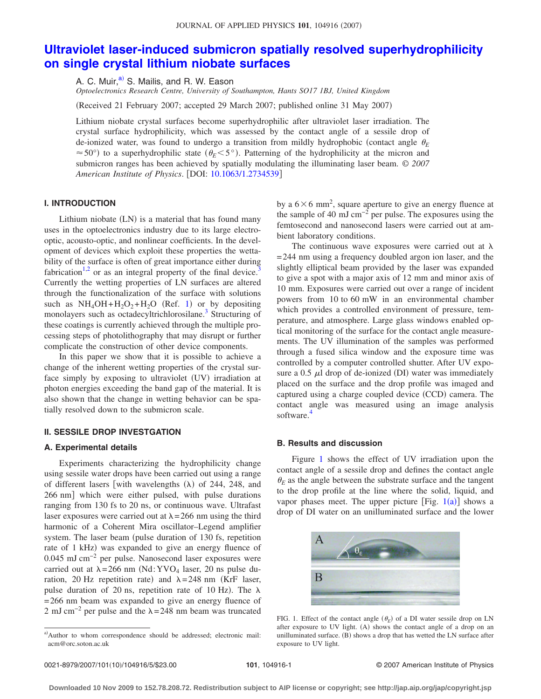# **[Ultraviolet laser-induced submicron spatially resolved superhydrophilicity](http://dx.doi.org/10.1063/1.2734539) [on single crystal lithium niobate surfaces](http://dx.doi.org/10.1063/1.2734539)**

A. C. Muir,<sup>a)</sup> S. Mailis, and R. W. Eason

*Optoelectronics Research Centre, University of Southampton, Hants SO17 1BJ, United Kingdom*

(Received 21 February 2007; accepted 29 March 2007; published online 31 May 2007)

Lithium niobate crystal surfaces become superhydrophilic after ultraviolet laser irradiation. The crystal surface hydrophilicity, which was assessed by the contact angle of a sessile drop of de-ionized water, was found to undergo a transition from mildly hydrophobic (contact angle  $\theta_F$  $\approx$  50°) to a superhydrophilic state ( $\theta$ <sup>E</sup>- $\leq$ 5°). Patterning of the hydrophilicity at the micron and submicron ranges has been achieved by spatially modulating the illuminating laser beam. © *2007 American Institute of Physics*. DOI: [10.1063/1.2734539](http://dx.doi.org/10.1063/1.2734539)

# **I. INTRODUCTION**

Lithium niobate (LN) is a material that has found many uses in the optoelectronics industry due to its large electrooptic, acousto-optic, and nonlinear coefficients. In the development of devices which exploit these properties the wettability of the surface is often of great importance either during fabrication<sup>1,[2](#page-4-1)</sup> or as an integral property of the final device.<sup>3</sup> Currently the wetting properties of LN surfaces are altered through the functionalization of the surface with solutions such as  $NH_4OH + H_2O_2 + H_2O$  (Ref. [1](#page-4-0)) or by depositing monolayers such as octadecyltrichlorosilane.<sup>3</sup> Structuring of these coatings is currently achieved through the multiple processing steps of photolithography that may disrupt or further complicate the construction of other device components.

In this paper we show that it is possible to achieve a change of the inherent wetting properties of the crystal surface simply by exposing to ultraviolet (UV) irradiation at photon energies exceeding the band gap of the material. It is also shown that the change in wetting behavior can be spatially resolved down to the submicron scale.

#### **II. SESSILE DROP INVESTGATION**

#### **A. Experimental details**

Experiments characterizing the hydrophilicity change using sessile water drops have been carried out using a range of different lasers [with wavelengths  $(\lambda)$  of 244, 248, and 266 nm] which were either pulsed, with pulse durations ranging from 130 fs to 20 ns, or continuous wave. Ultrafast laser exposures were carried out at  $\lambda$  = 266 nm using the third harmonic of a Coherent Mira oscillator–Legend amplifier system. The laser beam (pulse duration of 130 fs, repetition rate of 1 kHz) was expanded to give an energy fluence of 0.045 mJ cm−2 per pulse. Nanosecond laser exposures were carried out at  $\lambda = 266$  nm (Nd:YVO<sub>4</sub> laser, 20 ns pulse duration, 20 Hz repetition rate) and  $\lambda = 248$  nm (KrF laser, pulse duration of 20 ns, repetition rate of 10 Hz). The  $\lambda$ =266 nm beam was expanded to give an energy fluence of 2 mJ cm<sup>-2</sup> per pulse and the  $\lambda$ =248 nm beam was truncated

by a  $6 \times 6$  mm<sup>2</sup>, square aperture to give an energy fluence at the sample of 40 mJ cm−2 per pulse. The exposures using the femtosecond and nanosecond lasers were carried out at ambient laboratory conditions.

The continuous wave exposures were carried out at  $\lambda$ =244 nm using a frequency doubled argon ion laser, and the slightly elliptical beam provided by the laser was expanded to give a spot with a major axis of 12 mm and minor axis of 10 mm. Exposures were carried out over a range of incident powers from 10 to 60 mW in an environmental chamber which provides a controlled environment of pressure, temperature, and atmosphere. Large glass windows enabled optical monitoring of the surface for the contact angle measurements. The UV illumination of the samples was performed through a fused silica window and the exposure time was controlled by a computer controlled shutter. After UV exposure a 0.5  $\mu$ l drop of de-ionized (DI) water was immediately placed on the surface and the drop profile was imaged and captured using a charge coupled device (CCD) camera. The contact angle was measured using an image analysis software.<sup>4</sup>

## **B. Results and discussion**

Figure [1](#page-0-1) shows the effect of UV irradiation upon the contact angle of a sessile drop and defines the contact angle  $\theta_E$  as the angle between the substrate surface and the tangent to the drop profile at the line where the solid, liquid, and vapor phases meet. The upper picture [Fig.  $1(a)$  $1(a)$ ] shows a drop of DI water on an unilluminated surface and the lower

<span id="page-0-1"></span>

FIG. 1. Effect of the contact angle  $(\theta_E)$  of a DI water sessile drop on LN after exposure to UV light. (A) shows the contact angle of a drop on an unilluminated surface. (B) shows a drop that has wetted the LN surface after exposure to UV light.

<span id="page-0-0"></span>a)Author to whom correspondence should be addressed; electronic mail: acm@orc.soton.ac.uk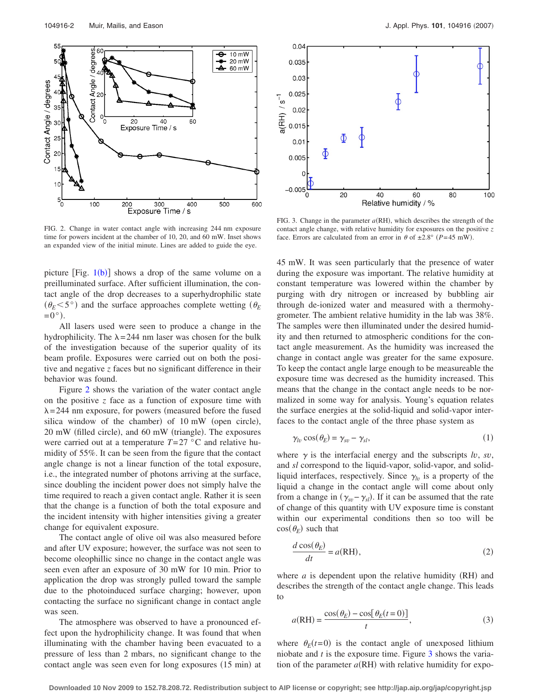<span id="page-1-0"></span>

FIG. 2. Change in water contact angle with increasing 244 nm exposure time for powers incident at the chamber of 10, 20, and 60 mW. Inset shows an expanded view of the initial minute. Lines are added to guide the eye.

picture  $[Fig. 1(b)]$  $[Fig. 1(b)]$  $[Fig. 1(b)]$  shows a drop of the same volume on a preilluminated surface. After sufficient illumination, the contact angle of the drop decreases to a superhydrophilic state  $(\theta_E < 5^\circ)$  and the surface approaches complete wetting  $(\theta_E$  $=0^{\circ}$ ).

All lasers used were seen to produce a change in the hydrophilicity. The  $\lambda$ =244 nm laser was chosen for the bulk of the investigation because of the superior quality of its beam profile. Exposures were carried out on both the positive and negative *z* faces but no significant difference in their behavior was found.

Figure [2](#page-1-0) shows the variation of the water contact angle on the positive *z* face as a function of exposure time with  $\lambda$ =244 nm exposure, for powers (measured before the fused silica window of the chamber) of 10 mW (open circle), 20 mW (filled circle), and 60 mW (triangle). The exposures were carried out at a temperature  $T=27$  °C and relative humidity of 55%. It can be seen from the figure that the contact angle change is not a linear function of the total exposure, i.e., the integrated number of photons arriving at the surface, since doubling the incident power does not simply halve the time required to reach a given contact angle. Rather it is seen that the change is a function of both the total exposure and the incident intensity with higher intensities giving a greater change for equivalent exposure.

The contact angle of olive oil was also measured before and after UV exposure; however, the surface was not seen to become oleophillic since no change in the contact angle was seen even after an exposure of 30 mW for 10 min. Prior to application the drop was strongly pulled toward the sample due to the photoinduced surface charging; however, upon contacting the surface no significant change in contact angle was seen.

The atmosphere was observed to have a pronounced effect upon the hydrophilicity change. It was found that when illuminating with the chamber having been evacuated to a pressure of less than 2 mbars, no significant change to the contact angle was seen even for long exposures (15 min) at

<span id="page-1-1"></span>

FIG. 3. Change in the parameter  $a(RH)$ , which describes the strength of the contact angle change, with relative humidity for exposures on the positive *z* face. Errors are calculated from an error in  $\theta$  of  $\pm 2.8^{\circ}$  (P=45 mW).

45 mW. It was seen particularly that the presence of water during the exposure was important. The relative humidity at constant temperature was lowered within the chamber by purging with dry nitrogen or increased by bubbling air through de-ionized water and measured with a thermohygrometer. The ambient relative humidity in the lab was 38%. The samples were then illuminated under the desired humidity and then returned to atmospheric conditions for the contact angle measurement. As the humidity was increased the change in contact angle was greater for the same exposure. To keep the contact angle large enough to be measureable the exposure time was decresed as the humidity increased. This means that the change in the contact angle needs to be normalized in some way for analysis. Young's equation relates the surface energies at the solid-liquid and solid-vapor interfaces to the contact angle of the three phase system as

$$
\gamma_{lv}\cos(\theta_E) = \gamma_{sv} - \gamma_{sl},\tag{1}
$$

where  $\gamma$  is the interfacial energy and the subscripts *lv*, *sv*, and *sl* correspond to the liquid-vapor, solid-vapor, and solidliquid interfaces, respectively. Since  $\gamma$ <sub>*lv*</sub> is a property of the liquid a change in the contact angle will come about only from a change in  $(\gamma_{sv} - \gamma_{sl})$ . If it can be assumed that the rate of change of this quantity with UV exposure time is constant within our experimental conditions then so too will be  $cos(\theta_E)$  such that

$$
\frac{d\cos(\theta_E)}{dt} = a(\text{RH}),\tag{2}
$$

where  $a$  is dependent upon the relative humidity (RH) and describes the strength of the contact angle change. This leads to

$$
a(RH) = \frac{\cos(\theta_E) - \cos[\theta_E(t=0)]}{t},
$$
\n(3)

where  $\theta_E(t=0)$  is the contact angle of unexposed lithium niobate and  $t$  is the exposure time. Figure  $\overline{3}$  $\overline{3}$  $\overline{3}$  shows the variation of the parameter  $a(RH)$  with relative humidity for expo-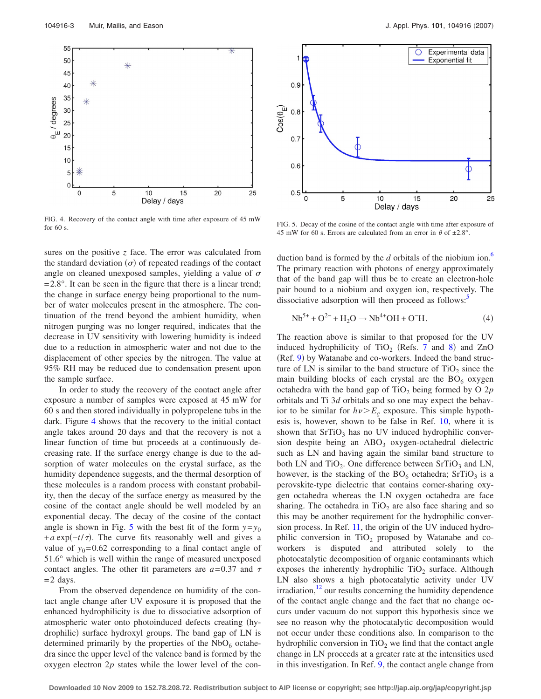<span id="page-2-0"></span>

FIG. 4. Recovery of the contact angle with time after exposure of 45 mW FIG. 5. Decay of the cosine of the contact angle with time after exposure of the form of the cosine of the cosine of the cosine of the cosine of the cosine of the cosine of the cosine of the cosine of the cosine of the cos

sures on the positive *z* face. The error was calculated from the standard deviation  $(\sigma)$  of repeated readings of the contact angle on cleaned unexposed samples, yielding a value of  $\sigma$  $=2.8^{\circ}$ . It can be seen in the figure that there is a linear trend; the change in surface energy being proportional to the number of water molecules present in the atmosphere. The continuation of the trend beyond the ambient humidity, when nitrogen purging was no longer required, indicates that the decrease in UV sensitivity with lowering humidity is indeed due to a reduction in atmospheric water and not due to the displacement of other species by the nitrogen. The value at 95% RH may be reduced due to condensation present upon the sample surface.

In order to study the recovery of the contact angle after exposure a number of samples were exposed at 45 mW for 60 s and then stored individually in polypropelene tubs in the dark. Figure [4](#page-2-0) shows that the recovery to the initial contact angle takes around 20 days and that the recovery is not a linear function of time but proceeds at a continuously decreasing rate. If the surface energy change is due to the adsorption of water molecules on the crystal surface, as the humidity dependence suggests, and the thermal desorption of these molecules is a random process with constant probability, then the decay of the surface energy as measured by the cosine of the contact angle should be well modeled by an exponential decay. The decay of the cosine of the contact angle is shown in Fig. [5](#page-2-1) with the best fit of the form  $y=y_0$  $+a \exp(-t/\tau)$ . The curve fits reasonably well and gives a value of  $y_0$ =0.62 corresponding to a final contact angle of 51.6° which is well within the range of measured unexposed contact angles. The other fit parameters are  $a=0.37$  and  $\tau$  $=$  2 days.

From the observed dependence on humidity of the contact angle change after UV exposure it is proposed that the enhanced hydrophilicity is due to dissociative adsorption of atmospheric water onto photoinduced defects creating hydrophilic) surface hydroxyl groups. The band gap of LN is determined primarily by the properties of the  $NbO<sub>6</sub>$  octahedra since the upper level of the valence band is formed by the oxygen electron 2*p* states while the lower level of the con-

<span id="page-2-1"></span>

45 mW for 60 s. Errors are calculated from an error in  $\theta$  of  $\pm 2.8^\circ$ 

duction band is formed by the  $d$  orbitals of the niobium ion.<sup>6</sup> The primary reaction with photons of energy approximately that of the band gap will thus be to create an electron-hole pair bound to a niobium and oxygen ion, respectively. The dissociative adsorption will then proceed as follows:<sup>5</sup>

$$
Nb^{5+} + O^{2-} + H_2O \rightarrow Nb^{4+}OH + O^-H.
$$
 (4)

The reaction above is similar to that proposed for the UV induced hydrophilicity of  $TiO<sub>2</sub>$  (Refs. [7](#page-4-6) and [8](#page-4-7)) and ZnO (Ref. [9](#page-4-8)) by Watanabe and co-workers. Indeed the band structure of LN is similar to the band structure of  $TiO<sub>2</sub>$  since the main building blocks of each crystal are the  $BO<sub>6</sub>$  oxygen octahedra with the band gap of  $TiO<sub>2</sub>$  being formed by O  $2p$ orbitals and Ti 3*d* orbitals and so one may expect the behavior to be similar for  $h\nu > E_g$  exposure. This simple hypothesis is, however, shown to be false in Ref. [10,](#page-4-9) where it is shown that  $SrTiO<sub>3</sub>$  has no UV induced hydrophilic conversion despite being an  $ABO<sub>3</sub>$  oxygen-octahedral dielectric such as LN and having again the similar band structure to both LN and  $TiO<sub>2</sub>$ . One difference between  $SrTiO<sub>3</sub>$  and LN, however, is the stacking of the  $BO<sub>6</sub>$  octahedra; SrTiO<sub>3</sub> is a perovskite-type dielectric that contains corner-sharing oxygen octahedra whereas the LN oxygen octahedra are face sharing. The octahedra in  $TiO<sub>2</sub>$  are also face sharing and so this may be another requirement for the hydrophilic conversion process. In Ref. [11,](#page-4-10) the origin of the UV induced hydrophilic conversion in  $TiO<sub>2</sub>$  proposed by Watanabe and coworkers is disputed and attributed solely to the photocatalytic decomposition of organic contaminants which exposes the inherently hydrophilic  $TiO<sub>2</sub>$  surface. Although LN also shows a high photocatalytic activity under UV  $irradiation, <sup>12</sup>$  our results concerning the humidity dependence of the contact angle change and the fact that no change occurs under vacuum do not support this hypothesis since we see no reason why the photocatalytic decomposition would not occur under these conditions also. In comparison to the hydrophilic conversion in  $TiO<sub>2</sub>$  we find that the contact angle change in LN proceeds at a greater rate at the intensities used in this investigation. In Ref. [9,](#page-4-8) the contact angle change from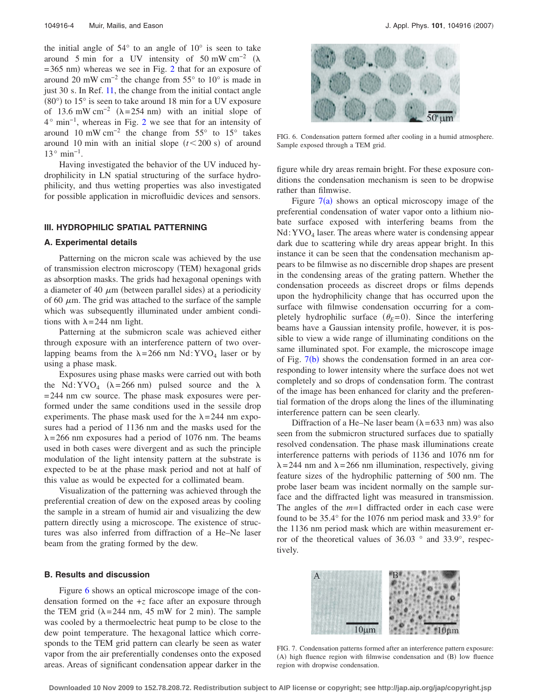the initial angle of 54° to an angle of 10° is seen to take around 5 min for a UV intensity of 50 mW cm<sup>-2</sup> ( $\lambda$  $=365$  nm) whereas we see in Fig. [2](#page-1-0) that for an exposure of around 20 mW cm−2 the change from 55° to 10° is made in just 30 s. In Ref. [11,](#page-4-10) the change from the initial contact angle  $(80^{\circ})$  to 15° is seen to take around 18 min for a UV exposure of 13.6 mW cm<sup>-2</sup> ( $\lambda$ =254 nm) with an initial slope of 4° min−1, whereas in Fig. [2](#page-1-0) we see that for an intensity of around 10 mW cm<sup>-2</sup> the change from  $55^{\circ}$  to  $15^{\circ}$  takes around 10 min with an initial slope  $(t<$  200 s) of around  $13°$  min<sup>-1</sup>.

Having investigated the behavior of the UV induced hydrophilicity in LN spatial structuring of the surface hydrophilicity, and thus wetting properties was also investigated for possible application in microfluidic devices and sensors.

# **III. HYDROPHILIC SPATIAL PATTERNING**

#### **A. Experimental details**

Patterning on the micron scale was achieved by the use of transmission electron microscopy (TEM) hexagonal grids as absorption masks. The grids had hexagonal openings with a diameter of 40  $\mu$ m (between parallel sides) at a periodicity of 60  $\mu$ m. The grid was attached to the surface of the sample which was subsequently illuminated under ambient conditions with  $\lambda = 244$  nm light.

Patterning at the submicron scale was achieved either through exposure with an interference pattern of two overlapping beams from the  $\lambda = 266$  nm Nd:YVO<sub>4</sub> laser or by using a phase mask.

Exposures using phase masks were carried out with both the Nd: YVO<sub>4</sub> ( $\lambda$ =266 nm) pulsed source and the  $\lambda$ =244 nm cw source. The phase mask exposures were performed under the same conditions used in the sessile drop experiments. The phase mask used for the  $\lambda = 244$  nm exposures had a period of 1136 nm and the masks used for the  $\lambda$ =266 nm exposures had a period of 1076 nm. The beams used in both cases were divergent and as such the principle modulation of the light intensity pattern at the substrate is expected to be at the phase mask period and not at half of this value as would be expected for a collimated beam.

Visualization of the patterning was achieved through the preferential creation of dew on the exposed areas by cooling the sample in a stream of humid air and visualizing the dew pattern directly using a microscope. The existence of structures was also inferred from diffraction of a He–Ne laser beam from the grating formed by the dew.

#### **B. Results and discussion**

Figure [6](#page-3-0) shows an optical microscope image of the condensation formed on the +*z* face after an exposure through the TEM grid  $(\lambda = 244 \text{ nm}, 45 \text{ mW}$  for 2 min). The sample was cooled by a thermoelectric heat pump to be close to the dew point temperature. The hexagonal lattice which corresponds to the TEM grid pattern can clearly be seen as water vapor from the air preferentially condenses onto the exposed areas. Areas of significant condensation appear darker in the

<span id="page-3-0"></span>

FIG. 6. Condensation pattern formed after cooling in a humid atmosphere. Sample exposed through a TEM grid.

figure while dry areas remain bright. For these exposure conditions the condensation mechanism is seen to be dropwise rather than filmwise.

Figure  $7(a)$  $7(a)$  shows an optical microscopy image of the preferential condensation of water vapor onto a lithium niobate surface exposed with interfering beams from the  $Nd:YVO<sub>4</sub> laser. The areas where water is condensing appear$ dark due to scattering while dry areas appear bright. In this instance it can be seen that the condensation mechanism appears to be filmwise as no discernible drop shapes are present in the condensing areas of the grating pattern. Whether the condensation proceeds as discreet drops or films depends upon the hydrophilicity change that has occurred upon the surface with filmwise condensation occurring for a completely hydrophilic surface  $(\theta_E=0)$ . Since the interfering beams have a Gaussian intensity profile, however, it is possible to view a wide range of illuminating conditions on the same illuminated spot. For example, the microscope image of Fig.  $7(b)$  $7(b)$  shows the condensation formed in an area corresponding to lower intensity where the surface does not wet completely and so drops of condensation form. The contrast of the image has been enhanced for clarity and the preferential formation of the drops along the lines of the illuminating interference pattern can be seen clearly.

Diffraction of a He–Ne laser beam  $(\lambda = 633 \text{ nm})$  was also seen from the submicron structured surfaces due to spatially resolved condensation. The phase mask illuminations create interference patterns with periods of 1136 and 1076 nm for  $\lambda$ =244 nm and  $\lambda$ =266 nm illumination, respectively, giving feature sizes of the hydrophilic patterning of 500 nm. The probe laser beam was incident normally on the sample surface and the diffracted light was measured in transmission. The angles of the *m*=1 diffracted order in each case were found to be 35.4° for the 1076 nm period mask and 33.9° for the 1136 nm period mask which are within measurement error of the theoretical values of 36.03 ° and 33.9°, respectively.

<span id="page-3-1"></span>

FIG. 7. Condensation patterns formed after an interference pattern exposure: (A) high fluence region with filmwise condensation and (B) low fluence region with dropwise condensation.